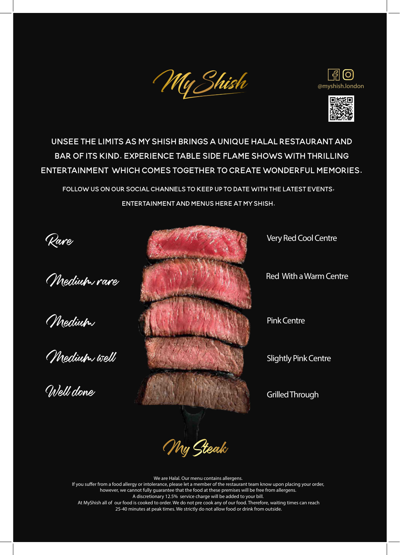





Unsee the limits as my shish brings a unique halal restaurant and bar of its kind. Experience table side flame shows with thrilling entertainment which comes together to create wonderful memories.

Follow us on our social channels to keep up to date with the latest events, entertainment and menus here at my shish.

Medium rare

Medium

Medium well

Well done



Red With a Warm Centre

Pink Centre

Slightly Pink Centre

Grilled Through

My Steak

We are Halal. Our menu contains allergens.

If you suffer from a food allergy or intolerance, please let a member of the restaurant team know upon placing your order, however, we cannot fully guarantee that the food at these premises will be free from allergens. A discretionary 12.5% service charge will be added to your bill.

At MyShish all of our food is cooked to order. We do not pre cook any of our food. Therefore, waiting times can reach 25-40 minutes at peak times. We strictly do not allow food or drink from outside.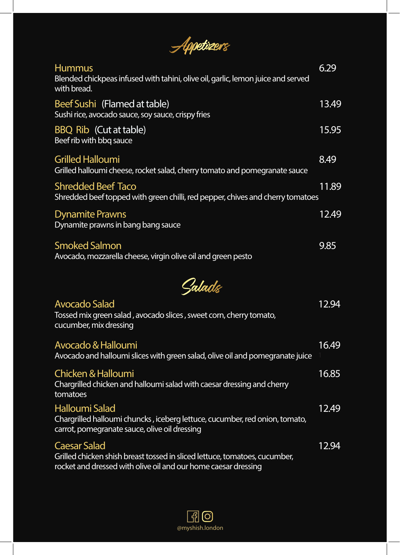| Appetizers                                                                                                           |       |
|----------------------------------------------------------------------------------------------------------------------|-------|
| <b>Hummus</b><br>Blended chickpeas infused with tahini, olive oil, garlic, lemon juice and served<br>with bread.     | 6.29  |
| Beef Sushi (Flamed at table)<br>Sushi rice, avocado sauce, soy sauce, crispy fries                                   | 13.49 |
| BBQ Rib (Cut at table)<br>Beef rib with bbq sauce                                                                    | 15.95 |
| <b>Grilled Halloumi</b><br>Grilled halloumi cheese, rocket salad, cherry tomato and pomegranate sauce                | 8.49  |
| <b>Shredded Beef Taco</b><br>Shredded beef topped with green chilli, red pepper, chives and cherry tomatoes          | 11.89 |
| <b>Dynamite Prawns</b><br>Dynamite prawns in bang bang sauce                                                         | 12.49 |
| <b>Smoked Salmon</b><br>Avocado, mozzarella cheese, virgin olive oil and green pesto                                 | 9.85  |
| Salads                                                                                                               |       |
| <b>Avocado Salad</b><br>Tossed mix green salad, avocado slices, sweet corn, cherry tomato,<br>cucumber, mix dressing | 12.94 |
| Avocado & Halloumi<br>Avocado and halloumi slices with green salad, olive oil and pomegranate juice                  | 16.49 |
| Chicken & Halloumi                                                                                                   | 16.85 |

Chargrilled chicken and halloumi salad with caesar dressing and cherry tomatoes Halloumi Salad Chargrilled halloumi chuncks , iceberg lettuce, cucumber, red onion, tomato, carrot, pomegranate sauce, olive oil dressing 12.49 Caesar Salad 12.94

Grilled chicken shish breast tossed in sliced lettuce, tomatoes, cucumber, rocket and dressed with olive oil and our home caesar dressing

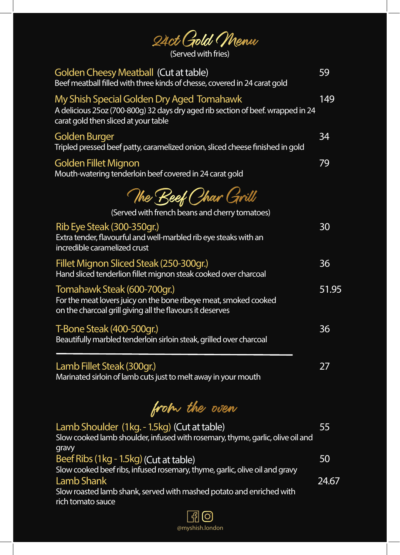| 24ct Gold Menu<br>(Served with fries)                                                                                                                                |       |
|----------------------------------------------------------------------------------------------------------------------------------------------------------------------|-------|
| Golden Cheesy Meatball (Cut at table)<br>Beef meatball filled with three kinds of chesse, covered in 24 carat gold                                                   | 59    |
| My Shish Special Golden Dry Aged Tomahawk<br>A delicious 25oz (700-800g) 32 days dry aged rib section of beef. wrapped in 24<br>carat gold then sliced at your table | 149   |
| Golden Burger<br>Tripled pressed beef patty, caramelized onion, sliced cheese finished in gold                                                                       | 34    |
| Golden Fillet Mignon<br>Mouth-watering tenderloin beef covered in 24 carat gold                                                                                      | 79    |
| The Beef Char Grill                                                                                                                                                  |       |
| (Served with french beans and cherry tomatoes)                                                                                                                       |       |
| Rib Eye Steak (300-350gr.)<br>Extra tender, flavourful and well-marbled rib eye steaks with an<br>incredible caramelized crust                                       | 30    |
| Fillet Mignon Sliced Steak (250-300gr.)<br>Hand sliced tenderlion fillet mignon steak cooked over charcoal                                                           | 36    |
| Tomahawk Steak (600-700gr.)<br>For the meat lovers juicy on the bone ribeye meat, smoked cooked<br>on the charcoal grill giving all the flavours it deserves         | 51.95 |
| T-Bone Steak (400-500gr.)<br>Beautifully marbled tenderloin sirloin steak, grilled over charcoal                                                                     | 36    |
| Lamb Fillet Steak (300gr.)<br>Marinated sirloin of lamb cuts just to melt away in your mouth                                                                         | 27    |

from the oven

| Lamb Shoulder (1kg. - 1.5kg) (Cut at table)                                               | 55    |
|-------------------------------------------------------------------------------------------|-------|
| Slow cooked lamb shoulder, infused with rosemary, thyme, garlic, olive oil and            |       |
| gravy                                                                                     |       |
| Beef Ribs (1kg - 1.5kg) (Cut at table)                                                    | 50    |
| Slow cooked beef ribs, infused rosemary, thyme, garlic, olive oil and gravy               |       |
| Lamb Shank                                                                                | 24.67 |
| Slow roasted lamb shank, served with mashed potato and enriched with<br>rich tomato sauce |       |
|                                                                                           |       |

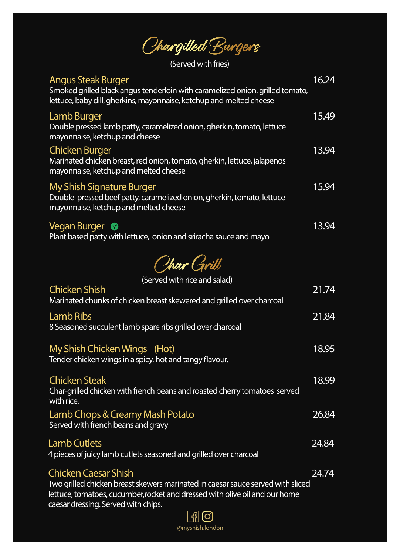Chargilled Burgers

(Served with fries)

| <b>Angus Steak Burger</b><br>Smoked grilled black angus tenderloin with caramelized onion, grilled tomato,<br>lettuce, baby dill, gherkins, mayonnaise, ketchup and melted cheese                                                    | 16.24 |
|--------------------------------------------------------------------------------------------------------------------------------------------------------------------------------------------------------------------------------------|-------|
| Lamb Burger<br>Double pressed lamb patty, caramelized onion, gherkin, tomato, lettuce<br>mayonnaise, ketchup and cheese                                                                                                              | 15.49 |
| <b>Chicken Burger</b><br>Marinated chicken breast, red onion, tomato, gherkin, lettuce, jalapenos<br>mayonnaise, ketchup and melted cheese                                                                                           | 13.94 |
| <b>My Shish Signature Burger</b><br>Double pressed beef patty, caramelized onion, gherkin, tomato, lettuce<br>mayonnaise, ketchup and melted cheese                                                                                  | 15.94 |
| <b>Vegan Burger</b><br>Plant based patty with lettuce, onion and sriracha sauce and mayo                                                                                                                                             | 13.94 |
| Char Grill                                                                                                                                                                                                                           |       |
| (Served with rice and salad)                                                                                                                                                                                                         |       |
| <b>Chicken Shish</b><br>Marinated chunks of chicken breast skewered and grilled over charcoal                                                                                                                                        | 21.74 |
| <b>Lamb Ribs</b><br>8 Seasoned succulent lamb spare ribs grilled over charcoal                                                                                                                                                       | 21.84 |
| My Shish Chicken Wings (Hot)<br>Tender chicken wings in a spicy, hot and tangy flavour.                                                                                                                                              | 18.95 |
| <b>Chicken Steak</b><br>Char-grilled chicken with french beans and roasted cherry tomatoes served<br>with rice.                                                                                                                      | 18.99 |
| Lamb Chops & Creamy Mash Potato<br>Served with french beans and gravy                                                                                                                                                                | 26.84 |
| <b>Lamb Cutlets</b><br>4 pieces of juicy lamb cutlets seasoned and grilled over charcoal                                                                                                                                             | 24.84 |
| <b>Chicken Caesar Shish</b><br>Two grilled chicken breast skewers marinated in caesar sauce served with sliced<br>lettuce, tomatoes, cucumber, rocket and dressed with olive oil and our home<br>caesar dressing. Served with chips. | 24.74 |
| $\mathbb{E}[\mathcal{O}]$                                                                                                                                                                                                            |       |

@myshish.london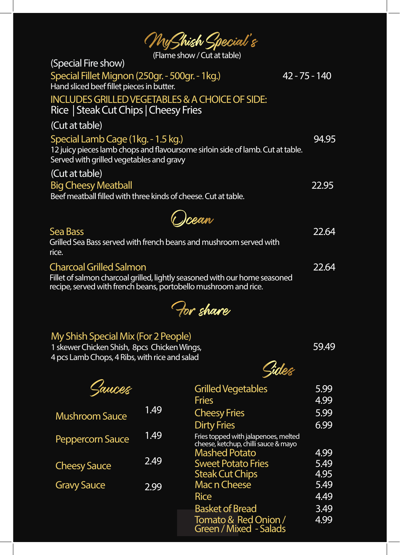| My Shish Special's                                                                                                                                                              |                 |
|---------------------------------------------------------------------------------------------------------------------------------------------------------------------------------|-----------------|
| (Flame show / Cut at table)<br>(Special Fire show)                                                                                                                              |                 |
| Special Fillet Mignon (250gr. - 500gr. - 1kg.)<br>Hand sliced beef fillet pieces in butter.                                                                                     | $42 - 75 - 140$ |
| <b>INCLUDES GRILLED VEGETABLES &amp; A CHOICE OF SIDE:</b><br>Rice   Steak Cut Chips   Cheesy Fries                                                                             |                 |
| (Cut at table)                                                                                                                                                                  |                 |
| Special Lamb Cage (1kg. - 1.5 kg.)<br>12 juicy pieces lamb chops and flavoursome sirloin side of lamb. Cut at table.<br>Served with grilled vegetables and gravy                | 94.95           |
| (Cut at table)<br><b>Big Cheesy Meatball</b><br>Beef meatball filled with three kinds of cheese. Cut at table.                                                                  | 22.95           |
| <i>Gcean</i>                                                                                                                                                                    |                 |
| <b>Sea Bass</b><br>Grilled Sea Bass served with french beans and mushroom served with<br>rice.                                                                                  | 22.64           |
| <b>Charcoal Grilled Salmon</b><br>Fillet of salmon charcoal grilled, lightly seasoned with our home seasoned<br>recipe, served with french beans, portobello mushroom and rice. | 22.64           |

For share

## My Shish Special Mix (For 2 People)

1 skewer Chicken Shish, 8pcs Chicken Wings, The South Chicken Structure of the South Structure of the South S 4 pcs Lamb Chops, 4 Ribs, with rice and salad

Gides

| <sup>j</sup> auce <i>s</i> |      | <b>Grilled Vegetables</b>                                                    | 5.99 |
|----------------------------|------|------------------------------------------------------------------------------|------|
|                            |      | <b>Fries</b>                                                                 | 4.99 |
| <b>Mushroom Sauce</b>      | 1.49 | <b>Cheesy Fries</b>                                                          | 5.99 |
|                            |      | <b>Dirty Fries</b>                                                           | 6.99 |
| <b>Peppercorn Sauce</b>    | 1.49 | Fries topped with jalapenoes, melted<br>cheese, ketchup, chilli sauce & mayo |      |
|                            |      | <b>Mashed Potato</b>                                                         | 4.99 |
| <b>Cheesy Sauce</b>        | 2.49 | <b>Sweet Potato Fries</b>                                                    | 5.49 |
|                            |      | <b>Steak Cut Chips</b>                                                       | 4.95 |
| <b>Gravy Sauce</b>         | 2.99 | Mac n Cheese                                                                 | 5.49 |
|                            |      | <b>Rice</b>                                                                  | 4.49 |
|                            |      | <b>Basket of Bread</b>                                                       | 3.49 |
|                            |      | Tomato & Red Onion /<br>Green / Mixed - Salads                               | 4.99 |